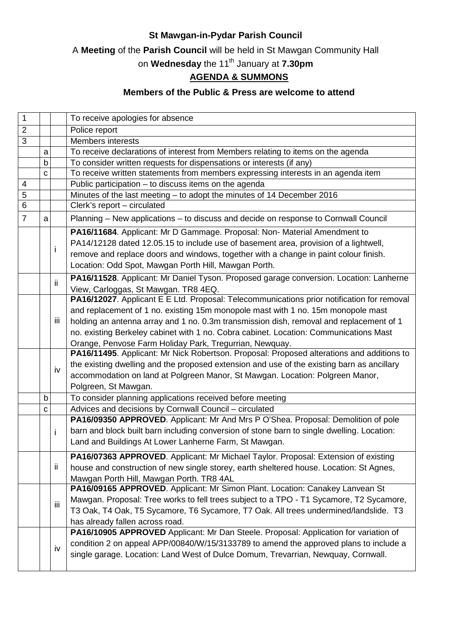### **St Mawgan-in-Pydar Parish Council**

A **Meeting** of the **Parish Council** will be held in St Mawgan Community Hall

on **Wednesday** the 11th January at **7.30pm**

## **AGENDA & SUMMONS**

#### **Members of the Public & Press are welcome to attend**

| 1              |             |     | To receive apologies for absence                                                           |
|----------------|-------------|-----|--------------------------------------------------------------------------------------------|
| $\overline{2}$ |             |     | Police report                                                                              |
| 3              |             |     | <b>Members interests</b>                                                                   |
|                | a           |     | To receive declarations of interest from Members relating to items on the agenda           |
|                | b           |     | To consider written requests for dispensations or interests (if any)                       |
|                | C           |     | To receive written statements from members expressing interests in an agenda item          |
| 4              |             |     | Public participation - to discuss items on the agenda                                      |
| 5              |             |     | Minutes of the last meeting - to adopt the minutes of 14 December 2016                     |
| 6              |             |     | Clerk's report - circulated                                                                |
| $\overline{7}$ | a           |     | Planning - New applications - to discuss and decide on response to Cornwall Council        |
|                |             | Ť   | PA16/11684. Applicant: Mr D Gammage. Proposal: Non- Material Amendment to                  |
|                |             |     | PA14/12128 dated 12.05.15 to include use of basement area, provision of a lightwell,       |
|                |             |     | remove and replace doors and windows, together with a change in paint colour finish.       |
|                |             |     | Location: Odd Spot, Mawgan Porth Hill, Mawgan Porth.                                       |
|                |             |     | PA16/11528. Applicant: Mr Daniel Tyson. Proposed garage conversion. Location: Lanherne     |
|                |             | ii. | View, Carloggas, St Mawgan. TR8 4EQ.                                                       |
|                |             |     | PA16/12027. Applicant E E Ltd. Proposal: Telecommunications prior notification for removal |
|                |             |     | and replacement of 1 no. existing 15m monopole mast with 1 no. 15m monopole mast           |
|                |             | iii | holding an antenna array and 1 no. 0.3m transmission dish, removal and replacement of 1    |
|                |             |     | no. existing Berkeley cabinet with 1 no. Cobra cabinet. Location: Communications Mast      |
|                |             |     | Orange, Penvose Farm Holiday Park, Tregurrian, Newquay.                                    |
|                |             |     | PA16/11495. Applicant: Mr Nick Robertson. Proposal: Proposed alterations and additions to  |
|                |             | iv  | the existing dwelling and the proposed extension and use of the existing barn as ancillary |
|                |             |     | accommodation on land at Polgreen Manor, St Mawgan. Location: Polgreen Manor,              |
|                |             |     | Polgreen, St Mawgan.                                                                       |
|                | $\mathsf b$ |     | To consider planning applications received before meeting                                  |
|                | C           |     | Advices and decisions by Cornwall Council - circulated                                     |
|                |             |     | PA16/09350 APPROVED. Applicant: Mr And Mrs P O'Shea. Proposal: Demolition of pole          |
|                |             | j.  | barn and block built barn including conversion of stone barn to single dwelling. Location: |
|                |             |     | Land and Buildings At Lower Lanherne Farm, St Mawgan.                                      |
|                |             |     |                                                                                            |
|                |             |     | PA16/07363 APPROVED. Applicant: Mr Michael Taylor. Proposal: Extension of existing         |
|                |             | ii. | house and construction of new single storey, earth sheltered house. Location: St Agnes,    |
|                |             |     | Mawgan Porth Hill, Mawgan Porth. TR8 4AL                                                   |
|                |             |     | PA16/09165 APPROVED. Applicant: Mr Simon Plant. Location: Canakey Lanvean St               |
|                |             | iii | Mawgan. Proposal: Tree works to fell trees subject to a TPO - T1 Sycamore, T2 Sycamore,    |
|                |             |     | T3 Oak, T4 Oak, T5 Sycamore, T6 Sycamore, T7 Oak. All trees undermined/landslide. T3       |
|                |             |     | has already fallen across road.                                                            |
|                |             |     | PA16/10905 APPROVED Applicant: Mr Dan Steele. Proposal: Application for variation of       |
|                |             | iv  | condition 2 on appeal APP/00840/W/15/3133789 to amend the approved plans to include a      |
|                |             |     | single garage. Location: Land West of Dulce Domum, Trevarrian, Newquay, Cornwall.          |
|                |             |     |                                                                                            |